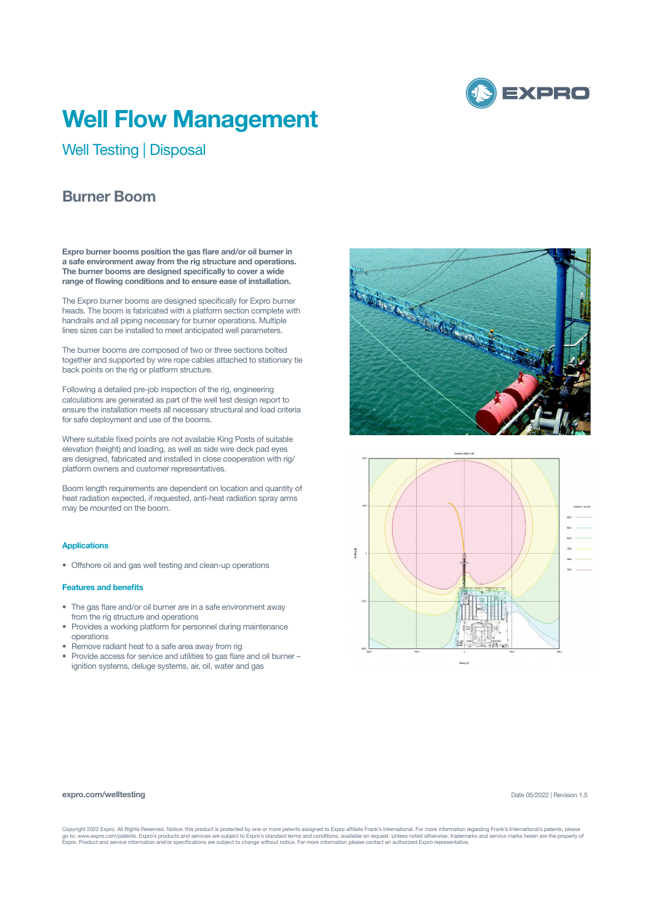

# **Well Flow Management**

Well Testing | Disposal

## **Burner Boom**

**Expro burner booms position the gas flare and/or oil burner in a safe environment away from the rig structure and operations. The burner booms are designed specifically to cover a wide range of flowing conditions and to ensure ease of installation.** 

The Expro burner booms are designed specifically for Expro burner heads. The boom is fabricated with a platform section complete with handrails and all piping necessary for burner operations. Multiple lines sizes can be installed to meet anticipated well parameters.

The burner booms are composed of two or three sections bolted together and supported by wire rope cables attached to stationary tie back points on the rig or platform structure.

Following a detailed pre-job inspection of the rig, engineering calculations are generated as part of the well test design report to ensure the installation meets all necessary structural and load criteria for safe deployment and use of the booms.

Where suitable fixed points are not available King Posts of suitable elevation (height) and loading, as well as side wire deck pad eyes are designed, fabricated and installed in close cooperation with rig/ platform owners and customer representatives.

Boom length requirements are dependent on location and quantity of heat radiation expected, if requested, anti-heat radiation spray arms may be mounted on the boom.

### **Applications**

• Offshore oil and gas well testing and clean-up operations

#### **Features and benefits**

- The gas flare and/or oil burner are in a safe environment away from the rig structure and operations
- Provides a working platform for personnel during maintenance operations
- Remove radiant heat to a safe area away from rig
- Provide access for service and utilities to gas flare and oil burner ignition systems, deluge systems, air, oil, water and gas





#### **expro.com/welltesting**

Date 05/2022 | Revision 1.5

Copyright 2022 Expro. All Rights Reserved. Notice: this product is protected by one or more patents assigned to Expro affiliate Frank's International. For more information regarding Frank's International's patents, please<br>